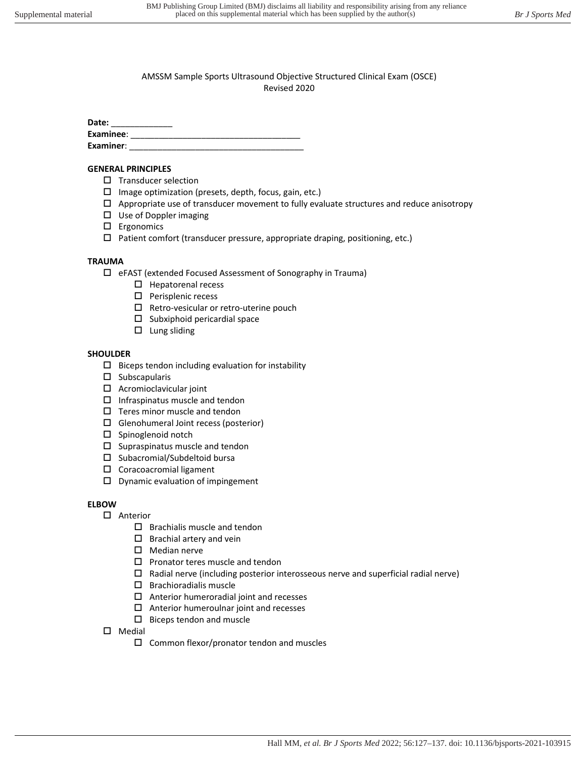Date:

| Examinee: |  |
|-----------|--|
| Examiner: |  |

#### **GENERAL PRINCIPLES**

- $\square$  Transducer selection
- $\square$  Image optimization (presets, depth, focus, gain, etc.)
- $\Box$  Appropriate use of transducer movement to fully evaluate structures and reduce anisotropy
- $\square$  Use of Doppler imaging
- Ergonomics
- $\Box$  Patient comfort (transducer pressure, appropriate draping, positioning, etc.)

### **TRAUMA**

- eFAST (extended Focused Assessment of Sonography in Trauma)
	- $\square$  Hepatorenal recess
	- $\square$  Perisplenic recess
	- $\square$  Retro-vesicular or retro-uterine pouch
	- $\square$  Subxiphoid pericardial space
	- $\square$  Lung sliding

## **SHOULDER**

- $\square$  Biceps tendon including evaluation for instability
- $\square$  Subscapularis
- $\Box$  Acromioclavicular joint
- $\square$  Infraspinatus muscle and tendon
- $\Box$  Teres minor muscle and tendon
- $\Box$  Glenohumeral Joint recess (posterior)
- $\square$  Spinoglenoid notch
- $\square$  Supraspinatus muscle and tendon
- $\square$  Subacromial/Subdeltoid bursa
- □ Coracoacromial ligament
- $\square$  Dynamic evaluation of impingement

### **ELBOW**

- □ Anterior
	- $\square$  Brachialis muscle and tendon
	- $\square$  Brachial artery and vein
	- $\square$  Median nerve
	- $\square$  Pronator teres muscle and tendon
	- $\square$  Radial nerve (including posterior interosseous nerve and superficial radial nerve)
	- $\square$  Brachioradialis muscle
	- $\Box$  Anterior humeroradial joint and recesses
	- $\Box$  Anterior humeroulnar joint and recesses
	- $\square$  Biceps tendon and muscle
- $\square$  Medial
	- $\square$  Common flexor/pronator tendon and muscles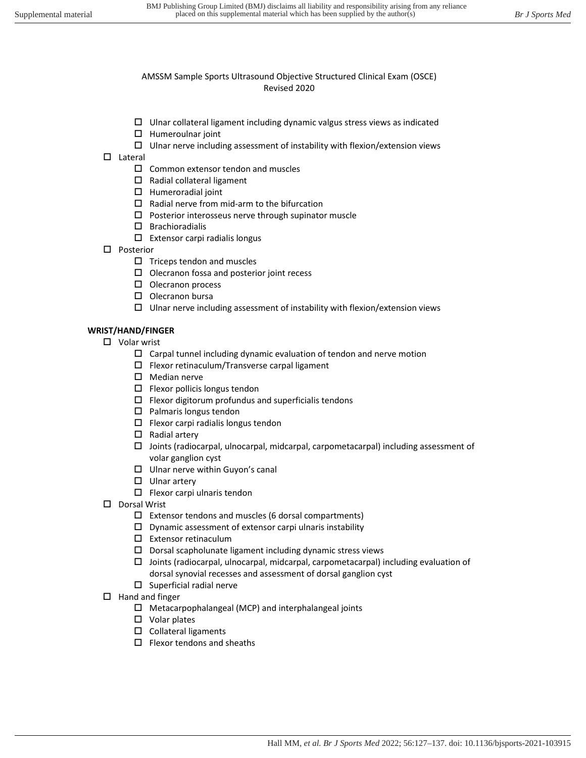- $\Box$  Ulnar collateral ligament including dynamic valgus stress views as indicated
- $\Box$  Humeroulnar joint
- $\square$  Ulnar nerve including assessment of instability with flexion/extension views
- $\square$  Lateral
	- $\square$  Common extensor tendon and muscles
	- $\square$  Radial collateral ligament
	- $\Box$  Humeroradial joint
	- $\square$  Radial nerve from mid-arm to the bifurcation
	- $\square$  Posterior interosseus nerve through supinator muscle
	- $\square$  Brachioradialis
	- $\Box$  Extensor carpi radialis longus
- □ Posterior
	- $\square$  Triceps tendon and muscles
	- $\square$  Olecranon fossa and posterior joint recess
	- $\square$  Olecranon process
	- $\square$  Olecranon bursa
	- $\Box$  Ulnar nerve including assessment of instability with flexion/extension views

#### **WRIST/HAND/FINGER**

- □ Volar wrist
	- $\Box$  Carpal tunnel including dynamic evaluation of tendon and nerve motion
	- $\square$  Flexor retinaculum/Transverse carpal ligament
	- $\square$  Median nerve
	- $\square$  Flexor pollicis longus tendon
	- $\square$  Flexor digitorum profundus and superficialis tendons
	- $\square$  Palmaris longus tendon
	- $\Box$  Flexor carpi radialis longus tendon
	- $\square$  Radial artery
	- $\Box$  Joints (radiocarpal, ulnocarpal, midcarpal, carpometacarpal) including assessment of volar ganglion cyst
	- $\square$  Ulnar nerve within Guyon's canal
	- $\square$  Ulnar artery
	- $\Box$  Flexor carpi ulnaris tendon
- D Dorsal Wrist
	- $\square$  Extensor tendons and muscles (6 dorsal compartments)
	- $\square$  Dynamic assessment of extensor carpi ulnaris instability
	- Extensor retinaculum
	- $\square$  Dorsal scapholunate ligament including dynamic stress views
	- $\Box$  Joints (radiocarpal, ulnocarpal, midcarpal, carpometacarpal) including evaluation of dorsal synovial recesses and assessment of dorsal ganglion cyst
	- $\square$  Superficial radial nerve
- $\Box$  Hand and finger
	- $\Box$  Metacarpophalangeal (MCP) and interphalangeal joints
	- □ Volar plates
	- $\square$  Collateral ligaments
	- $\Box$  Flexor tendons and sheaths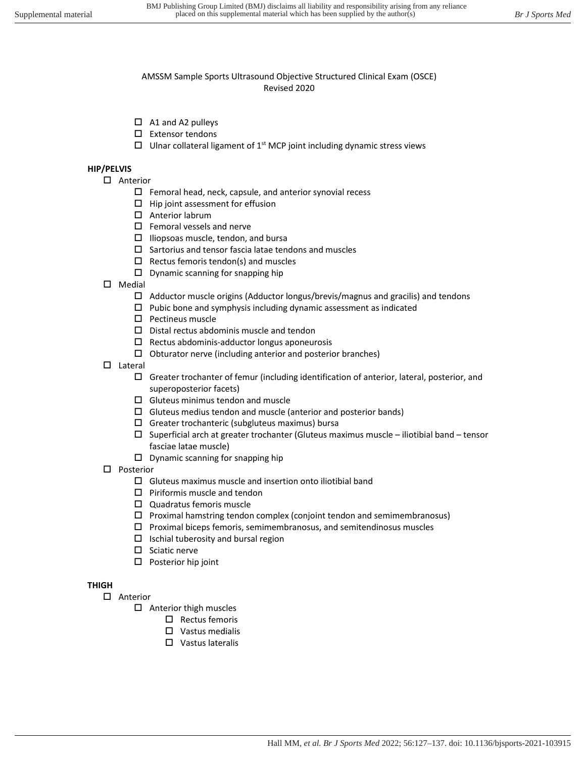- $\Box$  A1 and A2 pulleys
- $\square$  Extensor tendons
- $\Box$  Ulnar collateral ligament of 1<sup>st</sup> MCP joint including dynamic stress views

#### **HIP/PELVIS**

- □ Anterior
	- $\Box$  Femoral head, neck, capsule, and anterior synovial recess
	- $\Box$  Hip joint assessment for effusion
	- □ Anterior labrum
	- $\square$  Femoral vessels and nerve
	- $\Box$  Iliopsoas muscle, tendon, and bursa
	- $\square$  Sartorius and tensor fascia latae tendons and muscles
	- $\Box$  Rectus femoris tendon(s) and muscles
	- $\square$  Dynamic scanning for snapping hip
- $\square$  Medial
	- $\Box$  Adductor muscle origins (Adductor longus/brevis/magnus and gracilis) and tendons
	- $\square$  Pubic bone and symphysis including dynamic assessment as indicated
	- $\square$  Pectineus muscle
	- $\square$  Distal rectus abdominis muscle and tendon
	- $\square$  Rectus abdominis-adductor longus aponeurosis
	- $\Box$  Obturator nerve (including anterior and posterior branches)
- $\square$  Lateral
	- Greater trochanter of femur (including identification of anterior, lateral, posterior, and superoposterior facets)
	- $\square$  Gluteus minimus tendon and muscle
	- $\Box$  Gluteus medius tendon and muscle (anterior and posterior bands)
	- $\square$  Greater trochanteric (subgluteus maximus) bursa
	- $\square$  Superficial arch at greater trochanter (Gluteus maximus muscle iliotibial band tensor fasciae latae muscle)
	- $\square$  Dynamic scanning for snapping hip
- □ Posterior
	- $\square$  Gluteus maximus muscle and insertion onto iliotibial band
	- $\square$  Piriformis muscle and tendon
	- □ Quadratus femoris muscle
	- $\square$  Proximal hamstring tendon complex (conjoint tendon and semimembranosus)
	- $\Box$  Proximal biceps femoris, semimembranosus, and semitendinosus muscles
	- $\Box$  Ischial tuberosity and bursal region
	- $\square$  Sciatic nerve
	- $\square$  Posterior hip joint

# **THIGH**

- □ Anterior
	- $\Box$  Anterior thigh muscles
		- $\Box$  Rectus femoris
		- Vastus medialis
		- □ Vastus lateralis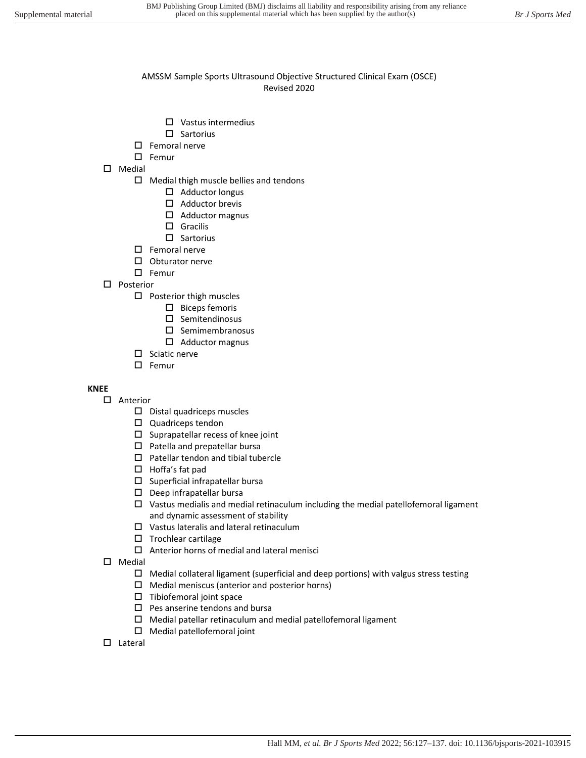- Vastus intermedius
- $\square$  Sartorius
- $\square$  Femoral nerve
- $\square$  Femur
- Medial
	- $\Box$  Medial thigh muscle bellies and tendons
		- $\Box$  Adductor longus
		- $\Box$  Adductor brevis
		- Adductor magnus
		- □ Gracilis
		- $\square$  Sartorius
	- $\square$  Femoral nerve
	- $\square$  Obturator nerve
	- $\square$  Femur
- □ Posterior
	- $\square$  Posterior thigh muscles
		- $\square$  Biceps femoris
		- $\square$  Semitendinosus
		- $\square$  Semimembranosus
		- Adductor magnus
	- $\square$  Sciatic nerve
	- $\square$  Femur

### **KNEE**

- Anterior
	- $\square$  Distal quadriceps muscles
	- $\square$  Quadriceps tendon
	- $\square$  Suprapatellar recess of knee joint
	- $\square$  Patella and prepatellar bursa
	- $\square$  Patellar tendon and tibial tubercle
	- □ Hoffa's fat pad
	- $\square$  Superficial infrapatellar bursa
	- $\square$  Deep infrapatellar bursa
	- $\square$  Vastus medialis and medial retinaculum including the medial patellofemoral ligament and dynamic assessment of stability
	- Vastus lateralis and lateral retinaculum
	- $\square$  Trochlear cartilage
	- $\Box$  Anterior horns of medial and lateral menisci
- $\square$  Medial
	- $\square$  Medial collateral ligament (superficial and deep portions) with valgus stress testing
	- $\Box$  Medial meniscus (anterior and posterior horns)
	- $\Box$  Tibiofemoral joint space
	- $\square$  Pes anserine tendons and bursa
	- $\Box$  Medial patellar retinaculum and medial patellofemoral ligament
	- Medial patellofemoral joint
- $\square$  Lateral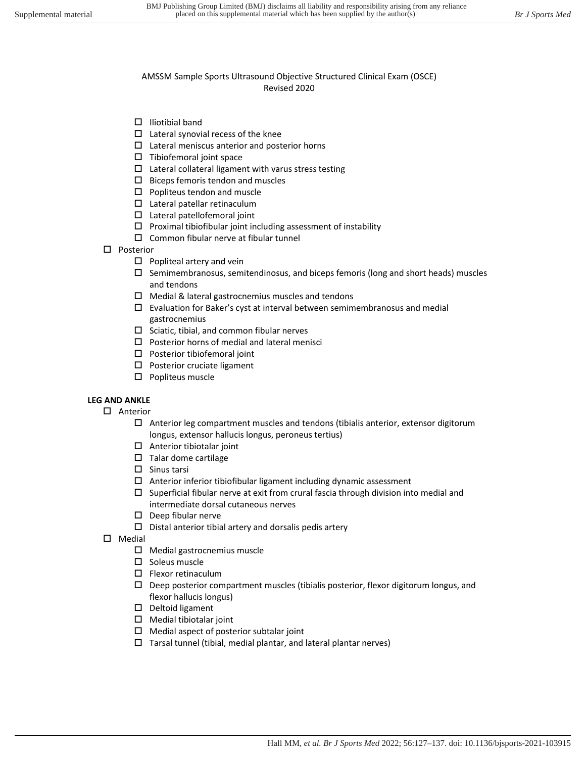- $\Box$  Iliotibial band
- $\Box$  Lateral synovial recess of the knee
- $\square$  Lateral meniscus anterior and posterior horns
- $\square$  Tibiofemoral joint space
- $\square$  Lateral collateral ligament with varus stress testing
- $\square$  Biceps femoris tendon and muscles
- $\square$  Popliteus tendon and muscle
- Lateral patellar retinaculum
- Lateral patellofemoral joint
- $\square$  Proximal tibiofibular joint including assessment of instability
- $\square$  Common fibular nerve at fibular tunnel
- □ Posterior
	- $\square$  Popliteal artery and vein
	- $\Box$  Semimembranosus, semitendinosus, and biceps femoris (long and short heads) muscles and tendons
	- $\Box$  Medial & lateral gastrocnemius muscles and tendons
	- $\square$  Evaluation for Baker's cyst at interval between semimembranosus and medial gastrocnemius
	- $\square$  Sciatic, tibial, and common fibular nerves
	- $\square$  Posterior horns of medial and lateral menisci
	- $\square$  Posterior tibiofemoral joint
	- □ Posterior cruciate ligament
	- $\square$  Popliteus muscle

## **LEG AND ANKLE**

- □ Anterior
	- $\Box$  Anterior leg compartment muscles and tendons (tibialis anterior, extensor digitorum longus, extensor hallucis longus, peroneus tertius)
	- $\Box$  Anterior tibiotalar joint
	- $\square$  Talar dome cartilage
	- $\square$  Sinus tarsi
	- $\Box$  Anterior inferior tibiofibular ligament including dynamic assessment
	- $\square$  Superficial fibular nerve at exit from crural fascia through division into medial and intermediate dorsal cutaneous nerves
	- $\square$  Deep fibular nerve
	- $\square$  Distal anterior tibial artery and dorsalis pedis artery
- $\square$  Medial
	- $\Box$  Medial gastrocnemius muscle
	- $\square$  Soleus muscle
	- $\square$  Flexor retinaculum
	- $\square$  Deep posterior compartment muscles (tibialis posterior, flexor digitorum longus, and flexor hallucis longus)
	- $\square$  Deltoid ligament
	- $\Box$  Medial tibiotalar joint
	- $\Box$  Medial aspect of posterior subtalar joint
	- $\Box$  Tarsal tunnel (tibial, medial plantar, and lateral plantar nerves)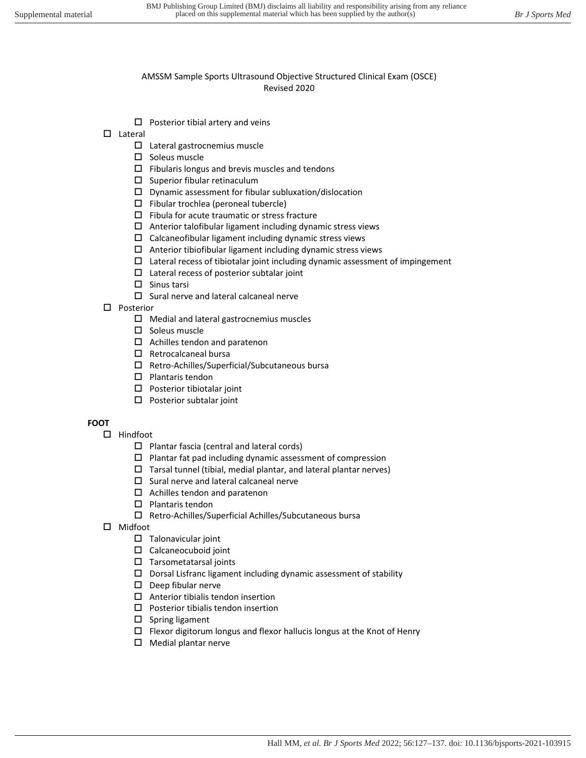- $\Box$  Posterior tibial artery and veins
- Lateral
	- □ Lateral gastrocnemius muscle
	- $\square$  Soleus muscle
	- $\Box$  Fibularis longus and brevis muscles and tendons
	- $\square$  Superior fibular retinaculum
	- $\square$  Dynamic assessment for fibular subluxation/dislocation
	- $\Box$  Fibular trochlea (peroneal tubercle)
	- $\square$  Fibula for acute traumatic or stress fracture
	- $\Box$  Anterior talofibular ligament including dynamic stress views
	- $\square$  Calcaneofibular ligament including dynamic stress views
	- $\Box$  Anterior tibiofibular ligament including dynamic stress views
	- $\square$  Lateral recess of tibiotalar joint including dynamic assessment of impingement
	- $\square$  Lateral recess of posterior subtalar joint
	- $\square$  Sinus tarsi
		- $\square$  Sural nerve and lateral calcaneal nerve
- □ Posterior
	- $\Box$  Medial and lateral gastrocnemius muscles
	- $\square$  Soleus muscle
	- $\Box$  Achilles tendon and paratenon
	- $\square$  Retrocalcaneal bursa
	- Retro-Achilles/Superficial/Subcutaneous bursa
	- $\square$  Plantaris tendon
	- $\square$  Posterior tibiotalar joint
	- $\square$  Posterior subtalar joint

# **FOOT**

- $\Box$  Hindfoot
	- $\square$  Plantar fascia (central and lateral cords)
	- $\square$  Plantar fat pad including dynamic assessment of compression
	- $\Box$  Tarsal tunnel (tibial, medial plantar, and lateral plantar nerves)
	- $\square$  Sural nerve and lateral calcaneal nerve
	- $\Box$  Achilles tendon and paratenon
	- $\square$  Plantaris tendon
	- Retro-Achilles/Superficial Achilles/Subcutaneous bursa
- Midfoot
	- $\square$  Talonavicular joint
	- Calcaneocuboid joint
	- $\square$  Tarsometatarsal joints
	- $\square$  Dorsal Lisfranc ligament including dynamic assessment of stability
	- $\square$  Deep fibular nerve
	- $\Box$  Anterior tibialis tendon insertion
	- $\square$  Posterior tibialis tendon insertion
	- $\square$  Spring ligament
	- $\Box$  Flexor digitorum longus and flexor hallucis longus at the Knot of Henry
	- $\Box$  Medial plantar nerve